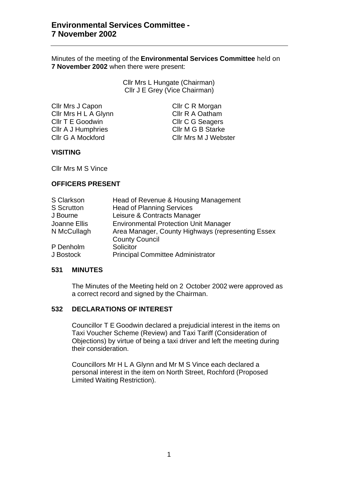Minutes of the meeting of the **Environmental Services Committee** held on **7 November 2002** when there were present:

> Cllr Mrs L Hungate (Chairman) Cllr J E Grey (Vice Chairman)

Cllr Mrs J Capon Cllr C R Morgan Cllr Mrs H L A Glynn Cllr R A Oatham Cllr T E Goodwin Cllr C G Seagers Cllr A J Humphries Cllr M G B Starke

Cllr G A Mockford Cllr Mrs M J Webster

## **VISITING**

Cllr Mrs M S Vince

## **OFFICERS PRESENT**

| S Clarkson        | Head of Revenue & Housing Management              |
|-------------------|---------------------------------------------------|
| <b>S</b> Scrutton | <b>Head of Planning Services</b>                  |
| J Bourne          | Leisure & Contracts Manager                       |
| Joanne Ellis      | <b>Environmental Protection Unit Manager</b>      |
| N McCullagh       | Area Manager, County Highways (representing Essex |
|                   | <b>County Council</b>                             |
| P Denholm         | Solicitor                                         |
| J Bostock         | <b>Principal Committee Administrator</b>          |

### **531 MINUTES**

The Minutes of the Meeting held on 2 October 2002 were approved as a correct record and signed by the Chairman.

## **532 DECLARATIONS OF INTEREST**

Councillor T E Goodwin declared a prejudicial interest in the items on Taxi Voucher Scheme (Review) and Taxi Tariff (Consideration of Objections) by virtue of being a taxi driver and left the meeting during their consideration.

Councillors Mr H L A Glynn and Mr M S Vince each declared a personal interest in the item on North Street, Rochford (Proposed Limited Waiting Restriction).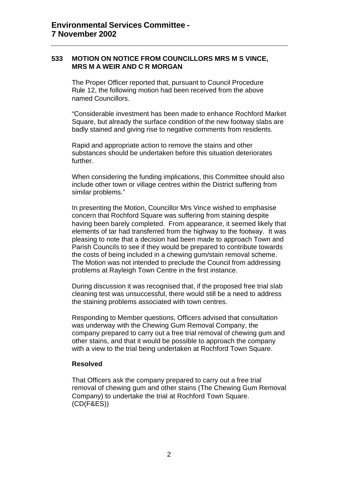### **533 MOTION ON NOTICE FROM COUNCILLORS MRS M S VINCE, MRS M A WEIR AND C R MORGAN**

The Proper Officer reported that, pursuant to Council Procedure Rule 12, the following motion had been received from the above named Councillors.

"Considerable investment has been made to enhance Rochford Market Square, but already the surface condition of the new footway slabs are badly stained and giving rise to negative comments from residents.

Rapid and appropriate action to remove the stains and other substances should be undertaken before this situation deteriorates further.

When considering the funding implications, this Committee should also include other town or village centres within the District suffering from similar problems."

In presenting the Motion, Councillor Mrs Vince wished to emphasise concern that Rochford Square was suffering from staining despite having been barely completed. From appearance, it seemed likely that elements of tar had transferred from the highway to the footway. It was pleasing to note that a decision had been made to approach Town and Parish Councils to see if they would be prepared to contribute towards the costs of being included in a chewing gum/stain removal scheme. The Motion was not intended to preclude the Council from addressing problems at Rayleigh Town Centre in the first instance.

During discussion it was recognised that, if the proposed free trial slab cleaning test was unsuccessful, there would still be a need to address the staining problems associated with town centres.

Responding to Member questions, Officers advised that consultation was underway with the Chewing Gum Removal Company, the company prepared to carry out a free trial removal of chewing gum and other stains, and that it would be possible to approach the company with a view to the trial being undertaken at Rochford Town Square.

#### **Resolved**

That Officers ask the company prepared to carry out a free trial removal of chewing gum and other stains (The Chewing Gum Removal Company) to undertake the trial at Rochford Town Square. (CD(F&ES))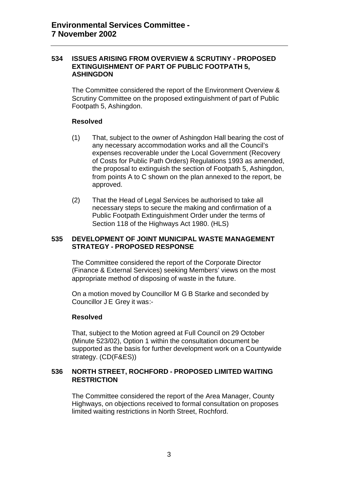#### **534 ISSUES ARISING FROM OVERVIEW & SCRUTINY - PROPOSED EXTINGUISHMENT OF PART OF PUBLIC FOOTPATH 5, ASHINGDON**

The Committee considered the report of the Environment Overview & Scrutiny Committee on the proposed extinguishment of part of Public Footpath 5, Ashingdon.

#### **Resolved**

- (1) That, subject to the owner of Ashingdon Hall bearing the cost of any necessary accommodation works and all the Council's expenses recoverable under the Local Government (Recovery of Costs for Public Path Orders) Regulations 1993 as amended, the proposal to extinguish the section of Footpath 5, Ashingdon, from points A to C shown on the plan annexed to the report, be approved.
- (2) That the Head of Legal Services be authorised to take all necessary steps to secure the making and confirmation of a Public Footpath Extinguishment Order under the terms of Section 118 of the Highways Act 1980. (HLS)

#### **535 DEVELOPMENT OF JOINT MUNICIPAL WASTE MANAGEMENT STRATEGY - PROPOSED RESPONSE**

The Committee considered the report of the Corporate Director (Finance & External Services) seeking Members' views on the most appropriate method of disposing of waste in the future.

On a motion moved by Councillor M G B Starke and seconded by Councillor J E Grey it was:-

### **Resolved**

That, subject to the Motion agreed at Full Council on 29 October (Minute 523/02), Option 1 within the consultation document be supported as the basis for further development work on a Countywide strategy. (CD(F&ES))

#### **536 NORTH STREET, ROCHFORD - PROPOSED LIMITED WAITING RESTRICTION**

The Committee considered the report of the Area Manager, County Highways, on objections received to formal consultation on proposes limited waiting restrictions in North Street, Rochford.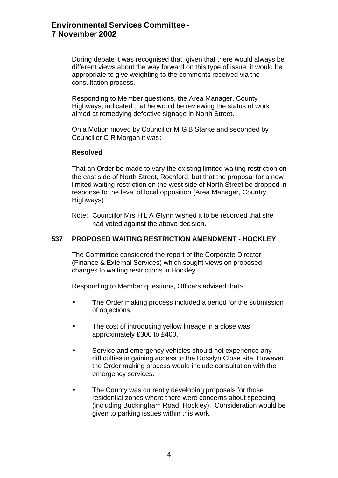During debate it was recognised that, given that there would always be different views about the way forward on this type of issue, it would be appropriate to give weighting to the comments received via the consultation process.

Responding to Member questions, the Area Manager, County Highways, indicated that he would be reviewing the status of work aimed at remedying defective signage in North Street.

On a Motion moved by Councillor M G B Starke and seconded by Councillor C R Morgan it was:-

#### **Resolved**

That an Order be made to vary the existing limited waiting restriction on the east side of North Street, Rochford, but that the proposal for a new limited waiting restriction on the west side of North Street be dropped in response to the level of local opposition (Area Manager, Country Highways)

Note: Councillor Mrs H L A Glynn wished it to be recorded that she had voted against the above decision.

### **537 PROPOSED WAITING RESTRICTION AMENDMENT - HOCKLEY**

The Committee considered the report of the Corporate Director (Finance & External Services) which sought views on proposed changes to waiting restrictions in Hockley.

Responding to Member questions, Officers advised that:-

- The Order making process included a period for the submission of objections.
- The cost of introducing yellow lineage in a close was approximately £300 to £400.
- Service and emergency vehicles should not experience any difficulties in gaining access to the Rosslyn Close site. However, the Order making process would include consultation with the emergency services.
- The County was currently developing proposals for those residential zones where there were concerns about speeding (including Buckingham Road, Hockley). Consideration would be given to parking issues within this work.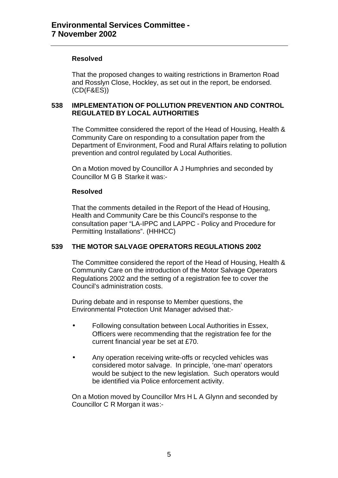### **Resolved**

That the proposed changes to waiting restrictions in Bramerton Road and Rosslyn Close, Hockley, as set out in the report, be endorsed. (CD(F&ES))

### **538 IMPLEMENTATION OF POLLUTION PREVENTION AND CONTROL REGULATED BY LOCAL AUTHORITIES**

The Committee considered the report of the Head of Housing, Health & Community Care on responding to a consultation paper from the Department of Environment, Food and Rural Affairs relating to pollution prevention and control regulated by Local Authorities.

On a Motion moved by Councillor A J Humphries and seconded by Councillor M G B Starke it was:-

#### **Resolved**

That the comments detailed in the Report of the Head of Housing, Health and Community Care be this Council's response to the consultation paper "LA-IPPC and LAPPC - Policy and Procedure for Permitting Installations". (HHHCC)

## **539 THE MOTOR SALVAGE OPERATORS REGULATIONS 2002**

The Committee considered the report of the Head of Housing, Health & Community Care on the introduction of the Motor Salvage Operators Regulations 2002 and the setting of a registration fee to cover the Council's administration costs.

During debate and in response to Member questions, the Environmental Protection Unit Manager advised that:-

- Following consultation between Local Authorities in Essex, Officers were recommending that the registration fee for the current financial year be set at £70.
- Any operation receiving write-offs or recycled vehicles was considered motor salvage. In principle, 'one-man' operators would be subject to the new legislation. Such operators would be identified via Police enforcement activity.

On a Motion moved by Councillor Mrs H L A Glynn and seconded by Councillor C R Morgan it was:-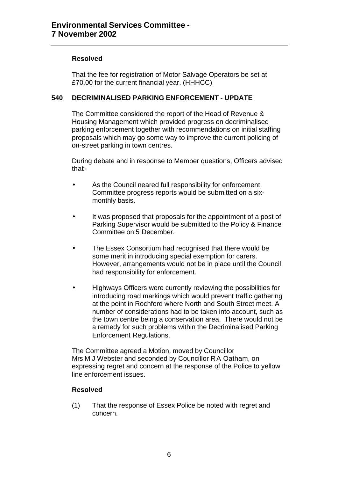## **Resolved**

That the fee for registration of Motor Salvage Operators be set at £70.00 for the current financial year. (HHHCC)

## **540 DECRIMINALISED PARKING ENFORCEMENT - UPDATE**

The Committee considered the report of the Head of Revenue & Housing Management which provided progress on decriminalised parking enforcement together with recommendations on initial staffing proposals which may go some way to improve the current policing of on-street parking in town centres.

During debate and in response to Member questions, Officers advised that:-

- As the Council neared full responsibility for enforcement, Committee progress reports would be submitted on a sixmonthly basis.
- It was proposed that proposals for the appointment of a post of Parking Supervisor would be submitted to the Policy & Finance Committee on 5 December.
- The Essex Consortium had recognised that there would be some merit in introducing special exemption for carers. However, arrangements would not be in place until the Council had responsibility for enforcement.
- Highways Officers were currently reviewing the possibilities for introducing road markings which would prevent traffic gathering at the point in Rochford where North and South Street meet. A number of considerations had to be taken into account, such as the town centre being a conservation area. There would not be a remedy for such problems within the Decriminalised Parking Enforcement Regulations.

The Committee agreed a Motion, moved by Councillor Mrs M J Webster and seconded by Councillor R A Oatham, on expressing regret and concern at the response of the Police to yellow line enforcement issues.

### **Resolved**

(1) That the response of Essex Police be noted with regret and concern.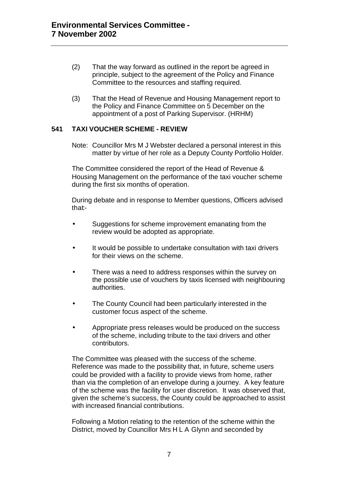- (2) That the way forward as outlined in the report be agreed in principle, subject to the agreement of the Policy and Finance Committee to the resources and staffing required.
- (3) That the Head of Revenue and Housing Management report to the Policy and Finance Committee on 5 December on the appointment of a post of Parking Supervisor. (HRHM)

### **541 TAXI VOUCHER SCHEME - REVIEW**

Note: Councillor Mrs M J Webster declared a personal interest in this matter by virtue of her role as a Deputy County Portfolio Holder.

The Committee considered the report of the Head of Revenue & Housing Management on the performance of the taxi voucher scheme during the first six months of operation.

During debate and in response to Member questions, Officers advised that:-

- Suggestions for scheme improvement emanating from the review would be adopted as appropriate.
- It would be possible to undertake consultation with taxi drivers for their views on the scheme.
- There was a need to address responses within the survey on the possible use of vouchers by taxis licensed with neighbouring authorities.
- The County Council had been particularly interested in the customer focus aspect of the scheme.
- Appropriate press releases would be produced on the success of the scheme, including tribute to the taxi drivers and other contributors.

The Committee was pleased with the success of the scheme. Reference was made to the possibility that, in future, scheme users could be provided with a facility to provide views from home, rather than via the completion of an envelope during a journey. A key feature of the scheme was the facility for user discretion. It was observed that, given the scheme's success, the County could be approached to assist with increased financial contributions.

Following a Motion relating to the retention of the scheme within the District, moved by Councillor Mrs H L A Glynn and seconded by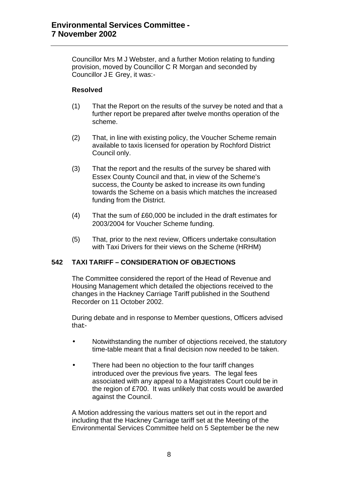Councillor Mrs M J Webster, and a further Motion relating to funding provision, moved by Councillor C R Morgan and seconded by Councillor J E Grey, it was:-

#### **Resolved**

- (1) That the Report on the results of the survey be noted and that a further report be prepared after twelve months operation of the scheme.
- (2) That, in line with existing policy, the Voucher Scheme remain available to taxis licensed for operation by Rochford District Council only.
- (3) That the report and the results of the survey be shared with Essex County Council and that, in view of the Scheme's success, the County be asked to increase its own funding towards the Scheme on a basis which matches the increased funding from the District.
- (4) That the sum of £60,000 be included in the draft estimates for 2003/2004 for Voucher Scheme funding.
- (5) That, prior to the next review, Officers undertake consultation with Taxi Drivers for their views on the Scheme (HRHM)

### **542 TAXI TARIFF – CONSIDERATION OF OBJECTIONS**

The Committee considered the report of the Head of Revenue and Housing Management which detailed the objections received to the changes in the Hackney Carriage Tariff published in the Southend Recorder on 11 October 2002.

During debate and in response to Member questions, Officers advised that:-

- Notwithstanding the number of objections received, the statutory time-table meant that a final decision now needed to be taken.
- There had been no objection to the four tariff changes introduced over the previous five years. The legal fees associated with any appeal to a Magistrates Court could be in the region of £700. It was unlikely that costs would be awarded against the Council.

A Motion addressing the various matters set out in the report and including that the Hackney Carriage tariff set at the Meeting of the Environmental Services Committee held on 5 September be the new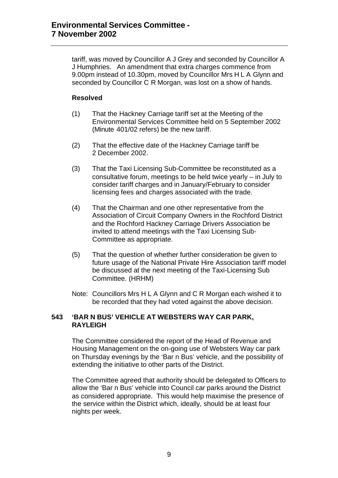tariff, was moved by Councillor A J Grey and seconded by Councillor A J Humphries. An amendment that extra charges commence from 9.00pm instead of 10.30pm, moved by Councillor Mrs H L A Glynn and seconded by Councillor C R Morgan, was lost on a show of hands.

## **Resolved**

- (1) That the Hackney Carriage tariff set at the Meeting of the Environmental Services Committee held on 5 September 2002 (Minute 401/02 refers) be the new tariff.
- (2) That the effective date of the Hackney Carriage tariff be 2 December 2002.
- (3) That the Taxi Licensing Sub-Committee be reconstituted as a consultative forum, meetings to be held twice yearly – in July to consider tariff charges and in January/February to consider licensing fees and charges associated with the trade.
- (4) That the Chairman and one other representative from the Association of Circuit Company Owners in the Rochford District and the Rochford Hackney Carriage Drivers Association be invited to attend meetings with the Taxi Licensing Sub-Committee as appropriate.
- (5) That the question of whether further consideration be given to future usage of the National Private Hire Association tariff model be discussed at the next meeting of the Taxi-Licensing Sub Committee. (HRHM)
- Note: Councillors Mrs H L A Glynn and C R Morgan each wished it to be recorded that they had voted against the above decision.

### **543 'BAR N BUS' VEHICLE AT WEBSTERS WAY CAR PARK, RAYLEIGH**

The Committee considered the report of the Head of Revenue and Housing Management on the on-going use of Websters Way car park on Thursday evenings by the 'Bar n Bus' vehicle, and the possibility of extending the initiative to other parts of the District.

The Committee agreed that authority should be delegated to Officers to allow the 'Bar n Bus' vehicle into Council car parks around the District as considered appropriate. This would help maximise the presence of the service within the District which, ideally, should be at least four nights per week.